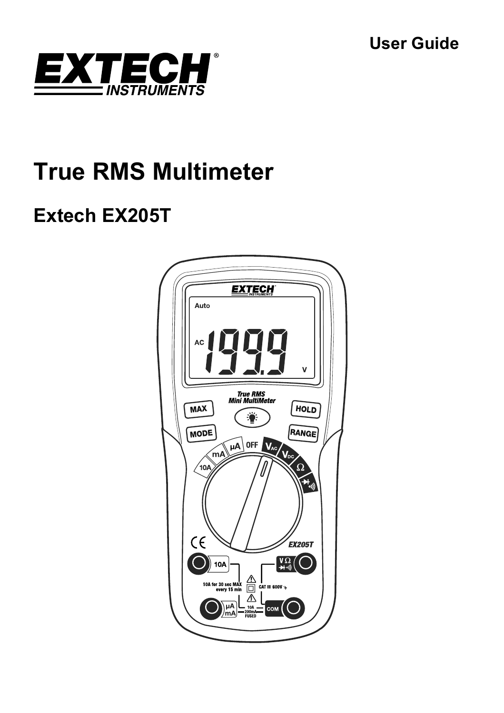**User Guide** 



# **True RMS Multimeter**

## **Extech EX205T**

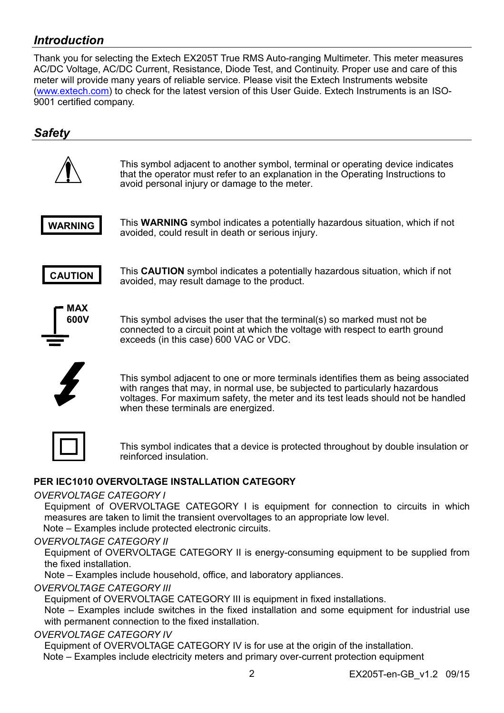## *Introduction*

Thank you for selecting the Extech EX205T True RMS Auto-ranging Multimeter. This meter measures AC/DC Voltage, AC/DC Current, Resistance, Diode Test, and Continuity. Proper use and care of this meter will provide many years of reliable service. Please visit the Extech Instruments website (www.extech.com) to check for the latest version of this User Guide. Extech Instruments is an ISO-9001 certified company.

## *Safety*



This symbol adjacent to another symbol, terminal or operating device indicates that the operator must refer to an explanation in the Operating Instructions to avoid personal injury or damage to the meter.



This **WARNING** symbol indicates a potentially hazardous situation, which if not avoided, could result in death or serious injury.



This **CAUTION** symbol indicates a potentially hazardous situation, which if not avoided, may result damage to the product.



This symbol advises the user that the terminal(s) so marked must not be connected to a circuit point at which the voltage with respect to earth ground exceeds (in this case) 600 VAC or VDC.

This symbol adjacent to one or more terminals identifies them as being associated with ranges that may, in normal use, be subjected to particularly hazardous voltages. For maximum safety, the meter and its test leads should not be handled when these terminals are energized.

This symbol indicates that a device is protected throughout by double insulation or reinforced insulation.

#### **PER IEC1010 OVERVOLTAGE INSTALLATION CATEGORY**

#### *OVERVOLTAGE CATEGORY I*

Equipment of OVERVOLTAGE CATEGORY I is equipment for connection to circuits in which measures are taken to limit the transient overvoltages to an appropriate low level. Note – Examples include protected electronic circuits.

#### *OVERVOLTAGE CATEGORY II*

Equipment of OVERVOLTAGE CATEGORY II is energy-consuming equipment to be supplied from the fixed installation.

Note – Examples include household, office, and laboratory appliances.

#### *OVERVOLTAGE CATEGORY III*

Equipment of OVERVOLTAGE CATEGORY III is equipment in fixed installations.

 Note – Examples include switches in the fixed installation and some equipment for industrial use with permanent connection to the fixed installation.

## *OVERVOLTAGE CATEGORY IV*

Equipment of OVERVOLTAGE CATEGORY IV is for use at the origin of the installation.

Note – Examples include electricity meters and primary over-current protection equipment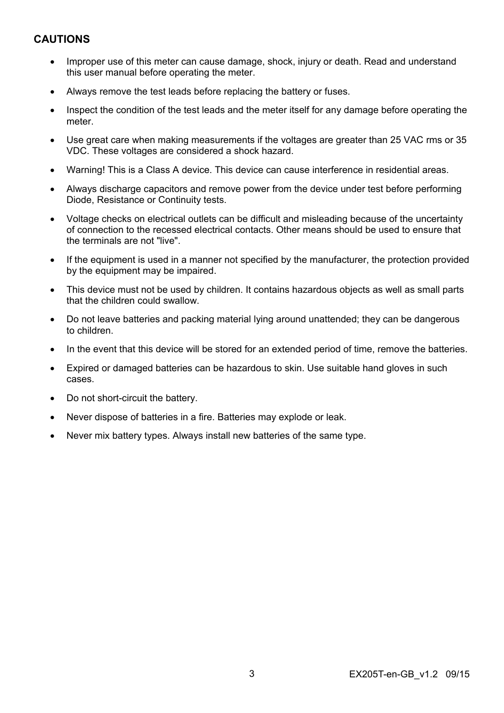## **CAUTIONS**

- Improper use of this meter can cause damage, shock, injury or death. Read and understand this user manual before operating the meter.
- Always remove the test leads before replacing the battery or fuses.
- Inspect the condition of the test leads and the meter itself for any damage before operating the meter.
- Use great care when making measurements if the voltages are greater than 25 VAC rms or 35 VDC. These voltages are considered a shock hazard.
- Warning! This is a Class A device. This device can cause interference in residential areas.
- Always discharge capacitors and remove power from the device under test before performing Diode, Resistance or Continuity tests.
- Voltage checks on electrical outlets can be difficult and misleading because of the uncertainty of connection to the recessed electrical contacts. Other means should be used to ensure that the terminals are not "live".
- If the equipment is used in a manner not specified by the manufacturer, the protection provided by the equipment may be impaired.
- This device must not be used by children. It contains hazardous objects as well as small parts that the children could swallow.
- Do not leave batteries and packing material lying around unattended; they can be dangerous to children.
- In the event that this device will be stored for an extended period of time, remove the batteries.
- Expired or damaged batteries can be hazardous to skin. Use suitable hand gloves in such cases.
- Do not short-circuit the battery.
- Never dispose of batteries in a fire. Batteries may explode or leak.
- Never mix battery types. Always install new batteries of the same type.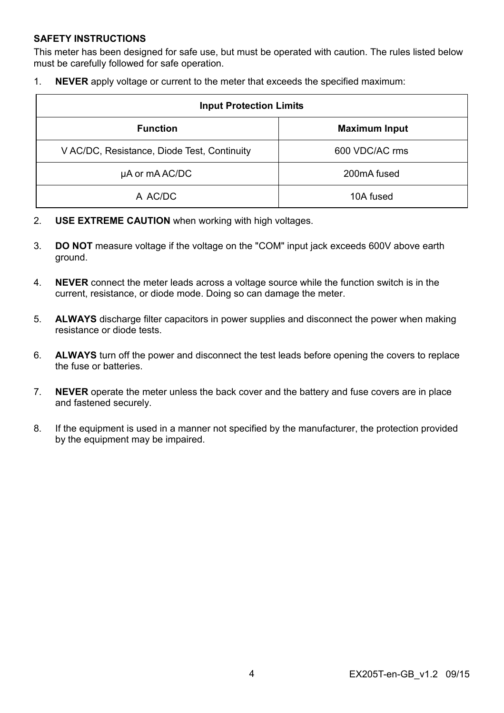#### **SAFETY INSTRUCTIONS**

This meter has been designed for safe use, but must be operated with caution. The rules listed below must be carefully followed for safe operation.

1. **NEVER** apply voltage or current to the meter that exceeds the specified maximum:

| <b>Input Protection Limits</b>              |                      |  |  |
|---------------------------------------------|----------------------|--|--|
| <b>Function</b>                             | <b>Maximum Input</b> |  |  |
| V AC/DC, Resistance, Diode Test, Continuity | 600 VDC/AC rms       |  |  |
| µA or mA AC/DC                              | 200mA fused          |  |  |
| A AC/DC                                     | 10A fused            |  |  |

- 2. **USE EXTREME CAUTION** when working with high voltages.
- 3. **DO NOT** measure voltage if the voltage on the "COM" input jack exceeds 600V above earth ground.
- 4. **NEVER** connect the meter leads across a voltage source while the function switch is in the current, resistance, or diode mode. Doing so can damage the meter.
- 5. **ALWAYS** discharge filter capacitors in power supplies and disconnect the power when making resistance or diode tests.
- 6. **ALWAYS** turn off the power and disconnect the test leads before opening the covers to replace the fuse or batteries.
- 7. **NEVER** operate the meter unless the back cover and the battery and fuse covers are in place and fastened securely.
- 8. If the equipment is used in a manner not specified by the manufacturer, the protection provided by the equipment may be impaired.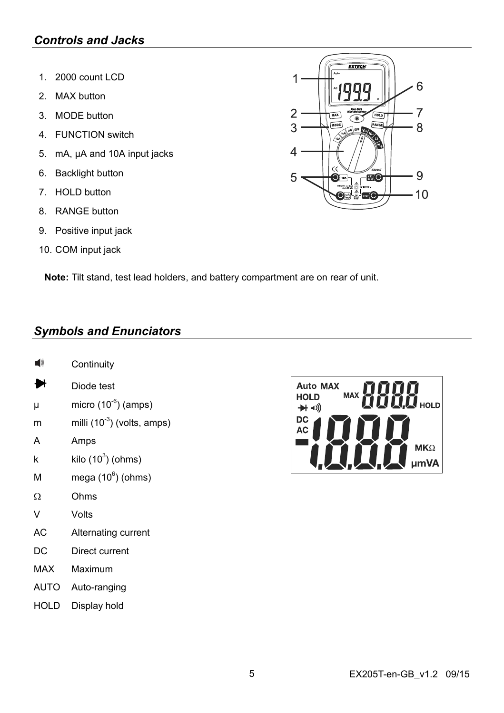## *Controls and Jacks*

- 1. 2000 count LCD
- 2. MAX button
- 3. MODE button
- 4. FUNCTION switch
- 5. mA, µA and 10A input jacks
- 6. Backlight button
- 7. HOLD button
- 8. RANGE button
- 9. Positive input jack
- 10. COM input jack



**Note:** Tilt stand, test lead holders, and battery compartment are on rear of unit.

## *Symbols and Enunciators*

- **Continuity**
- ₩ Diode test
- $\mu$  micro (10<sup>-6</sup>) (amps)
- m milli  $(10^{-3})$  (volts, amps)
- A Amps
- k kilo (10 $3$ ) (ohms)
- M mega  $(10^6)$  (ohms)
- $\Omega$  Ohms
- V Volts
- AC Alternating current
- DC Direct current
- MAX Maximum
- AUTO Auto-ranging
- HOLD Display hold

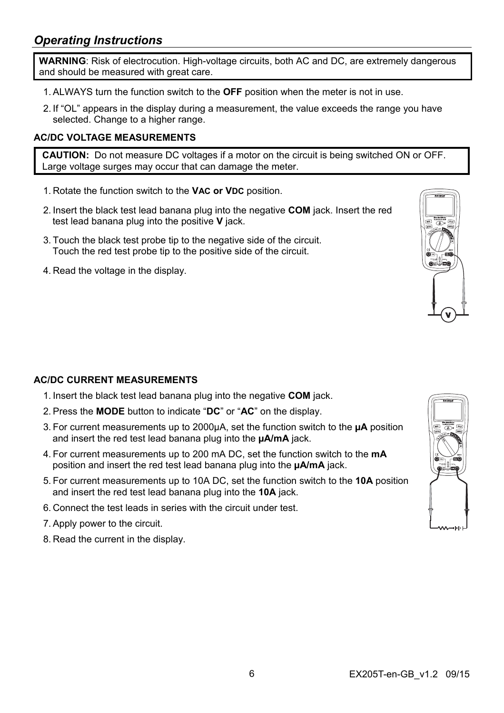**WARNING**: Risk of electrocution. High-voltage circuits, both AC and DC, are extremely dangerous and should be measured with great care.

- 1. ALWAYS turn the function switch to the **OFF** position when the meter is not in use.
- 2. If "OL" appears in the display during a measurement, the value exceeds the range you have selected. Change to a higher range.

## **AC/DC VOLTAGE MEASUREMENTS**

**CAUTION:** Do not measure DC voltages if a motor on the circuit is being switched ON or OFF. Large voltage surges may occur that can damage the meter.

- 1. Rotate the function switch to the **VAC or VDC** position.
- 2. Insert the black test lead banana plug into the negative **COM** jack. Insert the red test lead banana plug into the positive **V** jack.
- 3. Touch the black test probe tip to the negative side of the circuit. Touch the red test probe tip to the positive side of the circuit.
- 4. Read the voltage in the display.

## **AC/DC CURRENT MEASUREMENTS**

- 1. Insert the black test lead banana plug into the negative **COM** jack.
- 2. Press the **MODE** button to indicate "**DC**" or "**AC**" on the display.
- 3. For current measurements up to 2000µA, set the function switch to the **µA** position and insert the red test lead banana plug into the **µA/mA** jack.
- 4. For current measurements up to 200 mA DC, set the function switch to the **mA** position and insert the red test lead banana plug into the **µA/mA** jack.
- 5. For current measurements up to 10A DC, set the function switch to the **10A** position and insert the red test lead banana plug into the **10A** jack.
- 6. Connect the test leads in series with the circuit under test.
- 7. Apply power to the circuit.
- 8. Read the current in the display.

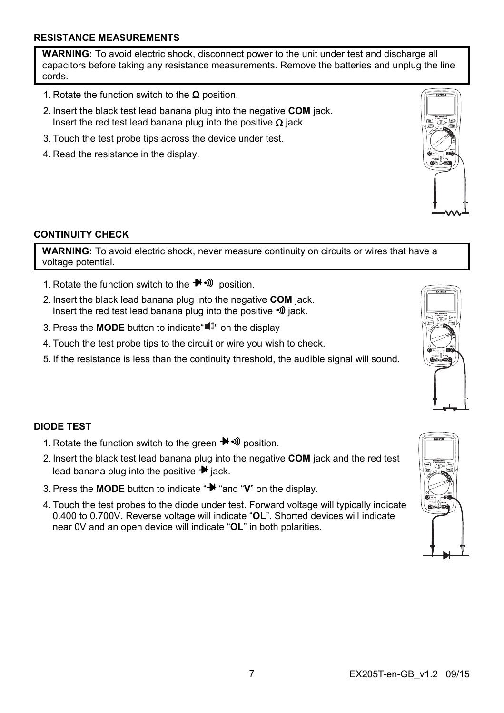#### **RESISTANCE MEASUREMENTS**

**WARNING:** To avoid electric shock, disconnect power to the unit under test and discharge all capacitors before taking any resistance measurements. Remove the batteries and unplug the line cords.

- 1. Rotate the function switch to the **Ω** position.
- 2. Insert the black test lead banana plug into the negative **COM** jack. Insert the red test lead banana plug into the positive  $\Omega$  jack.
- 3. Touch the test probe tips across the device under test.
- 4. Read the resistance in the display.



**WARNING:** To avoid electric shock, never measure continuity on circuits or wires that have a voltage potential.

- 1. Rotate the function switch to the  $\blacktriangleright$   $\blacktriangleright$   $\bowtie$  position.
- 2. Insert the black lead banana plug into the negative **COM** jack. Insert the red test lead banana plug into the positive  $\mathcal{D}$  jack.
- 3. Press the **MODE** button to indicate  $\blacksquare$  on the display
- 4. Touch the test probe tips to the circuit or wire you wish to check.
- 5. If the resistance is less than the continuity threshold, the audible signal will sound.

## **DIODE TEST**

- 1. Rotate the function switch to the green  $\blacktriangleright$   $\clubsuit$   $\mathfrak{W}$  position.
- 2. Insert the black test lead banana plug into the negative **COM** jack and the red test lead banana plug into the positive  $\blacktriangleright$  iack.
- 3. Press the **MODE** button to indicate " $\mathbb{H}$  "and "V" on the display.
- 4. Touch the test probes to the diode under test. Forward voltage will typically indicate 0.400 to 0.700V. Reverse voltage will indicate "**OL**". Shorted devices will indicate near 0V and an open device will indicate "**OL**" in both polarities.









ഹ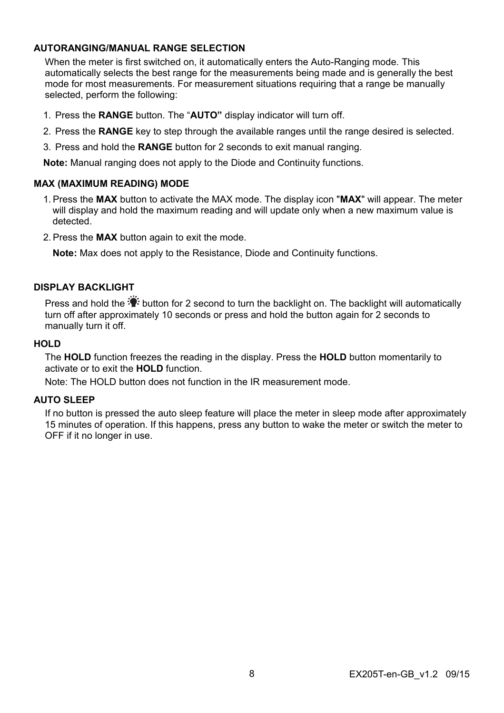## **AUTORANGING/MANUAL RANGE SELECTION**

When the meter is first switched on, it automatically enters the Auto-Ranging mode. This automatically selects the best range for the measurements being made and is generally the best mode for most measurements. For measurement situations requiring that a range be manually selected, perform the following:

- 1. Press the **RANGE** button. The "**AUTO"** display indicator will turn off.
- 2. Press the **RANGE** key to step through the available ranges until the range desired is selected.
- 3. Press and hold the **RANGE** button for 2 seconds to exit manual ranging.

**Note:** Manual ranging does not apply to the Diode and Continuity functions.

#### **MAX (MAXIMUM READING) MODE**

- 1. Press the **MAX** button to activate the MAX mode. The display icon "**MAX**" will appear. The meter will display and hold the maximum reading and will update only when a new maximum value is detected.
- 2. Press the **MAX** button again to exit the mode.

**Note:** Max does not apply to the Resistance, Diode and Continuity functions.

## **DISPLAY BACKLIGHT**

Press and hold the  $\ddot{\ddot{\bullet}}$  button for 2 second to turn the backlight on. The backlight will automatically turn off after approximately 10 seconds or press and hold the button again for 2 seconds to manually turn it off.

#### **HOLD**

The **HOLD** function freezes the reading in the display. Press the **HOLD** button momentarily to activate or to exit the **HOLD** function.

Note: The HOLD button does not function in the IR measurement mode.

#### **AUTO SLEEP**

If no button is pressed the auto sleep feature will place the meter in sleep mode after approximately 15 minutes of operation. If this happens, press any button to wake the meter or switch the meter to OFF if it no longer in use.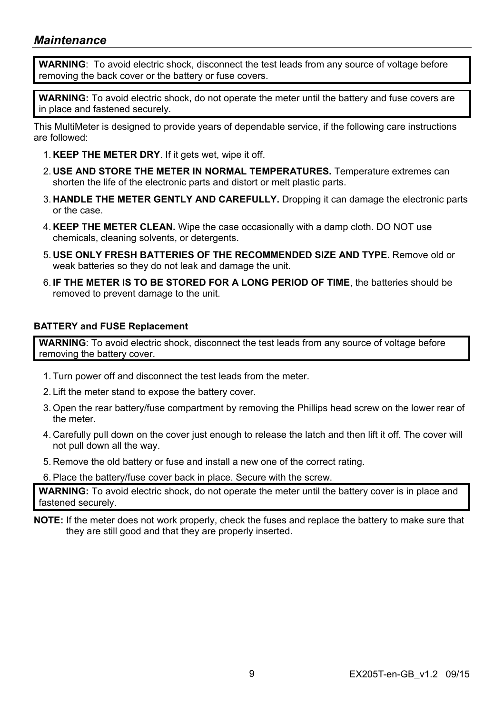## *Maintenance*

**WARNING**: To avoid electric shock, disconnect the test leads from any source of voltage before removing the back cover or the battery or fuse covers.

**WARNING:** To avoid electric shock, do not operate the meter until the battery and fuse covers are in place and fastened securely.

This MultiMeter is designed to provide years of dependable service, if the following care instructions are followed:

- 1. **KEEP THE METER DRY**. If it gets wet, wipe it off.
- 2. **USE AND STORE THE METER IN NORMAL TEMPERATURES.** Temperature extremes can shorten the life of the electronic parts and distort or melt plastic parts.
- 3. **HANDLE THE METER GENTLY AND CAREFULLY.** Dropping it can damage the electronic parts or the case.
- 4. **KEEP THE METER CLEAN.** Wipe the case occasionally with a damp cloth. DO NOT use chemicals, cleaning solvents, or detergents.
- 5. **USE ONLY FRESH BATTERIES OF THE RECOMMENDED SIZE AND TYPE.** Remove old or weak batteries so they do not leak and damage the unit.
- 6. **IF THE METER IS TO BE STORED FOR A LONG PERIOD OF TIME**, the batteries should be removed to prevent damage to the unit.

## **BATTERY and FUSE Replacement**

**WARNING**: To avoid electric shock, disconnect the test leads from any source of voltage before removing the battery cover.

- 1. Turn power off and disconnect the test leads from the meter.
- 2. Lift the meter stand to expose the battery cover.
- 3. Open the rear battery/fuse compartment by removing the Phillips head screw on the lower rear of the meter.
- 4. Carefully pull down on the cover just enough to release the latch and then lift it off. The cover will not pull down all the way.
- 5. Remove the old battery or fuse and install a new one of the correct rating.
- 6. Place the battery/fuse cover back in place. Secure with the screw.

**WARNING:** To avoid electric shock, do not operate the meter until the battery cover is in place and fastened securely.

**NOTE:** If the meter does not work properly, check the fuses and replace the battery to make sure that they are still good and that they are properly inserted.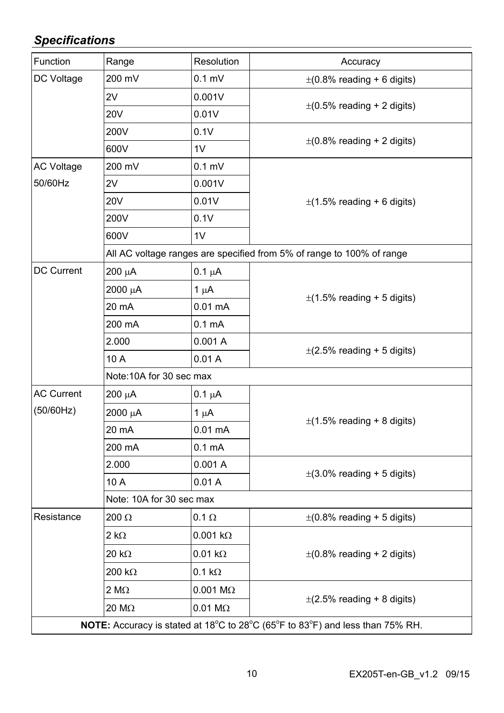## *Specifications*

| Function          | Range                    | Resolution             | Accuracy                                                                      |
|-------------------|--------------------------|------------------------|-------------------------------------------------------------------------------|
| DC Voltage        | 200 mV                   | $0.1$ mV               | $\pm$ (0.8% reading + 6 digits)                                               |
|                   | 2V                       | 0.001V                 | $\pm$ (0.5% reading + 2 digits)                                               |
|                   | 20 <sub>V</sub>          | 0.01V                  |                                                                               |
|                   | 200V                     | 0.1V                   | $\pm$ (0.8% reading + 2 digits)                                               |
|                   | 600V                     | 1V                     |                                                                               |
| <b>AC Voltage</b> | 200 mV                   | $0.1 \text{ mV}$       |                                                                               |
| 50/60Hz           | 2V                       | 0.001V                 | $\pm$ (1.5% reading + 6 digits)                                               |
|                   | 20 <sub>V</sub>          | 0.01V                  |                                                                               |
|                   | 200V                     | 0.1V                   |                                                                               |
|                   | 600V                     | 1V                     |                                                                               |
|                   |                          |                        | All AC voltage ranges are specified from 5% of range to 100% of range         |
| DC Current        | 200 µA                   | $0.1 \mu A$            | $\pm$ (1.5% reading + 5 digits)                                               |
|                   | 2000 μΑ                  | 1 $\mu$ A              |                                                                               |
|                   | 20 mA                    | 0.01 mA                |                                                                               |
|                   | 200 mA                   | 0.1 mA                 |                                                                               |
|                   | 2.000                    | 0.001A                 | $\pm$ (2.5% reading + 5 digits)                                               |
|                   | 10 A                     | 0.01A                  |                                                                               |
|                   | Note:10A for 30 sec max  |                        |                                                                               |
| <b>AC Current</b> | 200 μΑ                   | $0.1 \mu A$            | $\pm$ (1.5% reading + 8 digits)                                               |
| (50/60Hz)         | 2000 μΑ                  | 1 $\mu$ A              |                                                                               |
|                   | 20 mA                    | $0.01 \text{ mA}$      |                                                                               |
|                   | 200 mA                   | 0.1 <sub>m</sub> A     |                                                                               |
|                   | 2.000                    | 0.001A                 | $\pm$ (3.0% reading + 5 digits)                                               |
|                   | 10 A                     | 0.01A                  |                                                                               |
|                   | Note: 10A for 30 sec max |                        |                                                                               |
| Resistance        | 200 Ω                    | $0.1 \Omega$           | $\pm$ (0.8% reading + 5 digits)                                               |
|                   | $2 k\Omega$              | $0.001 k\Omega$        | $\pm$ (0.8% reading + 2 digits)                                               |
|                   | 20 k $\Omega$            | $0.01 k\Omega$         |                                                                               |
|                   | 200 k $\Omega$           | $0.1 k\Omega$          |                                                                               |
|                   | $2 M\Omega$              | $0.001$ M $\Omega$     | $\pm$ (2.5% reading + 8 digits)                                               |
|                   | 20 MΩ                    | $0.01 \text{ M}\Omega$ |                                                                               |
|                   |                          |                        | NOTE: Accuracy is stated at 18°C to 28°C (65°F to 83°F) and less than 75% RH. |
|                   |                          |                        |                                                                               |